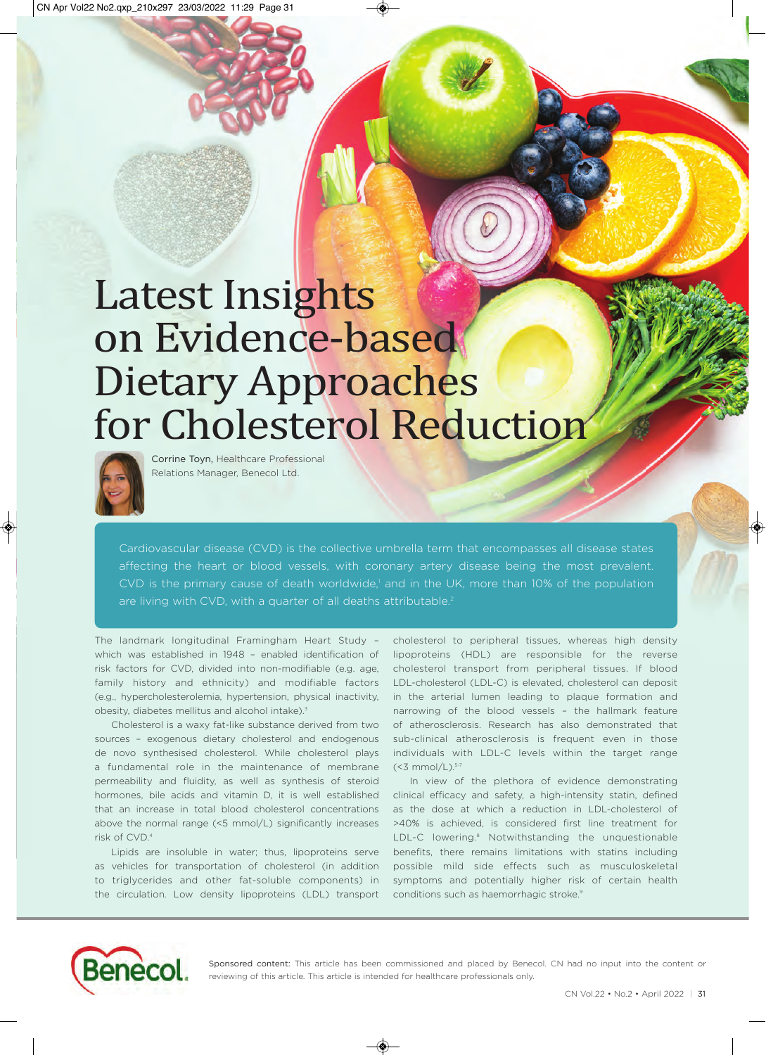# Latest Insights on Evidence‐based Dietary Approaches for Cholesterol Reduction



Corrine Toyn, Healthcare Professional Relations Manager, Benecol Ltd.

Cardiovascular disease (CVD) is the collective umbrella term that encompasses all disease states affecting the heart or blood vessels, with coronary artery disease being the most prevalent. CVD is the primary cause of death worldwide,' and in the UK, more than 10% of the population are living with CVD, with a quarter of all deaths attributable.<sup>2</sup>

The landmark longitudinal Framingham Heart Study – which was established in 1948 – enabled identification of risk factors for CVD, divided into non-modifiable (e.g. age, family history and ethnicity) and modifiable factors (e.g., hypercholesterolemia, hypertension, physical inactivity, obesity, diabetes mellitus and alcohol intake).<sup>3</sup>

Cholesterol is a waxy fat-like substance derived from two sources – exogenous dietary cholesterol and endogenous de novo synthesised cholesterol. While cholesterol plays a fundamental role in the maintenance of membrane permeability and fluidity, as well as synthesis of steroid hormones, bile acids and vitamin D, it is well established that an increase in total blood cholesterol concentrations above the normal range (<5 mmol/L) significantly increases risk of CVD.4

Lipids are insoluble in water; thus, lipoproteins serve as vehicles for transportation of cholesterol (in addition to triglycerides and other fat-soluble components) in the circulation. Low density lipoproteins (LDL) transport

cholesterol to peripheral tissues, whereas high density lipoproteins (HDL) are responsible for the reverse cholesterol transport from peripheral tissues. If blood LDL-cholesterol (LDL-C) is elevated, cholesterol can deposit in the arterial lumen leading to plaque formation and narrowing of the blood vessels – the hallmark feature of atherosclerosis. Research has also demonstrated that sub-clinical atherosclerosis is frequent even in those individuals with LDL-C levels within the target range  $(<3$  mmol/L). $5-7$ 

In view of the plethora of evidence demonstrating clinical efficacy and safety, a high-intensity statin, defined as the dose at which a reduction in LDL-cholesterol of >40% is achieved, is considered first line treatment for LDL-C lowering.<sup>8</sup> Notwithstanding the unquestionable benefits, there remains limitations with statins including possible mild side effects such as musculoskeletal symptoms and potentially higher risk of certain health conditions such as haemorrhagic stroke.<sup>9</sup>



Sponsored content: This article has been commissioned and placed by Benecol. CN had no input into the content or reviewing of this article. This article is intended for healthcare professionals only.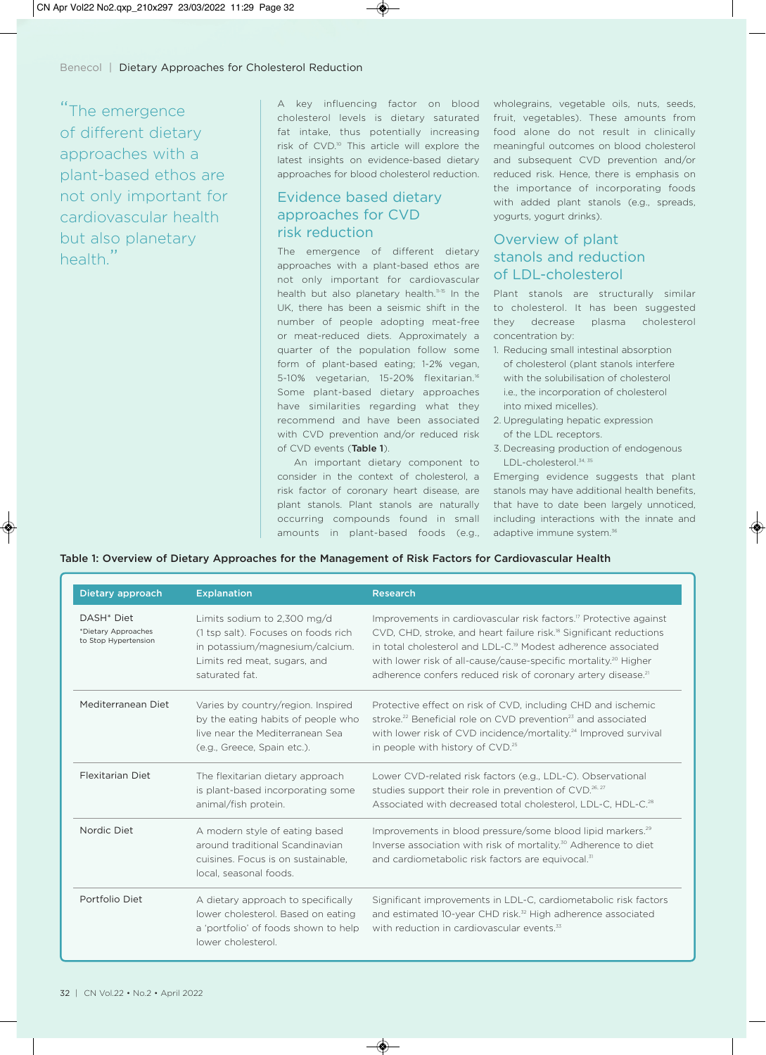"The emergence of different dietary approaches with a plant-based ethos are not only important for cardiovascular health but also planetary health"

A key influencing factor on blood wholegrains, vegetable oils, nuts, seeds, cholesterol levels is dietary saturated fruit, vegetables). These amounts from fat intake, thus potentially increasing food alone do not result in clinically risk of CVD.<sup>10</sup> This article will explore the meaningful outcomes on blood cholesterol latest insights on evidence-based dietary and subsequent CVD prevention and/or approaches for blood cholesterol reduction.

## Evidence based dietary approaches for CVD risk reduction

The emergence of different dietary approaches with a plant-based ethos are not only important for cardiovascular health but also planetary health.<sup>11-15</sup> In the Plant stanols are structurally similar UK, there has been a seismic shift in the number of people adopting meat-free or meat-reduced diets. Approximately a quarter of the population follow some form of plant-based eating; 1-2% vegan, 5-10% vegetarian, 15-20% flexitarian.<sup>16</sup> Some plant-based dietary approaches have similarities regarding what they recommend and have been associated with CVD prevention and/or reduced risk of CVD events (Table 1).

An important dietary component to consider in the context of cholesterol, a Emerging evidence suggests that plant risk factor of coronary heart disease, are stanols may have additional health benefits, plant stanols. Plant stanols are naturally occurring compounds found in small amounts in plant-based foods (e.g.,

reduced risk. Hence, there is emphasis on the importance of incorporating foods with added plant stanols (e.g., spreads, yogurts, yogurt drinks).

### Overview of plant stanols and reduction of LDL-cholesterol

to cholesterol. It has been suggested they decrease plasma cholesterol concentration by:

- 1. Reducing small intestinal absorption of cholesterol (plant stanols interfere with the solubilisation of cholesterol i.e., the incorporation of cholesterol into mixed micelles).
- 2. Upregulating hepatic expression of the LDL receptors.
- 3. Decreasing production of endogenous LDL-cholesterol.<sup>34, 35</sup>

that have to date been largely unnoticed, including interactions with the innate and adaptive immune system.<sup>36</sup>

| Table 1: Overview of Dietary Approaches for the Management of Risk Factors for Cardiovascular Health |  |  |  |  |
|------------------------------------------------------------------------------------------------------|--|--|--|--|
|------------------------------------------------------------------------------------------------------|--|--|--|--|

| Dietary approach                                                      | <b>Explanation</b>                                                                                                                                      | Research                                                                                                                                                                                                                                                                                                                                                                                                |
|-----------------------------------------------------------------------|---------------------------------------------------------------------------------------------------------------------------------------------------------|---------------------------------------------------------------------------------------------------------------------------------------------------------------------------------------------------------------------------------------------------------------------------------------------------------------------------------------------------------------------------------------------------------|
| DASH <sup>*</sup> Diet<br>*Dietary Approaches<br>to Stop Hypertension | Limits sodium to 2,300 mg/d<br>(1 tsp salt). Focuses on foods rich<br>in potassium/magnesium/calcium.<br>Limits red meat, sugars, and<br>saturated fat. | Improvements in cardiovascular risk factors. <sup>17</sup> Protective against<br>CVD, CHD, stroke, and heart failure risk. <sup>18</sup> Significant reductions<br>in total cholesterol and LDL-C. <sup>19</sup> Modest adherence associated<br>with lower risk of all-cause/cause-specific mortality. <sup>20</sup> Higher<br>adherence confers reduced risk of coronary artery disease. <sup>21</sup> |
| Mediterranean Diet                                                    | Varies by country/region. Inspired<br>by the eating habits of people who<br>live near the Mediterranean Sea<br>(e.g., Greece, Spain etc.).              | Protective effect on risk of CVD, including CHD and ischemic<br>stroke. <sup>22</sup> Beneficial role on CVD prevention <sup>23</sup> and associated<br>with lower risk of CVD incidence/mortality. <sup>24</sup> Improved survival<br>in people with history of CVD. <sup>25</sup>                                                                                                                     |
| Flexitarian Diet                                                      | The flexitarian dietary approach<br>is plant-based incorporating some<br>animal/fish protein.                                                           | Lower CVD-related risk factors (e.g., LDL-C). Observational<br>studies support their role in prevention of CVD. <sup>26, 27</sup><br>Associated with decreased total cholesterol, LDL-C, HDL-C. <sup>28</sup>                                                                                                                                                                                           |
| Nordic Diet                                                           | A modern style of eating based<br>around traditional Scandinavian<br>cuisines. Focus is on sustainable,<br>local, seasonal foods.                       | Improvements in blood pressure/some blood lipid markers. <sup>29</sup><br>Inverse association with risk of mortality. <sup>30</sup> Adherence to diet<br>and cardiometabolic risk factors are equivocal. <sup>31</sup>                                                                                                                                                                                  |
| Portfolio Diet                                                        | A dietary approach to specifically<br>lower cholesterol. Based on eating<br>a 'portfolio' of foods shown to help<br>lower cholesterol.                  | Significant improvements in LDL-C, cardiometabolic risk factors<br>and estimated 10-year CHD risk. <sup>32</sup> High adherence associated<br>with reduction in cardiovascular events. <sup>33</sup>                                                                                                                                                                                                    |